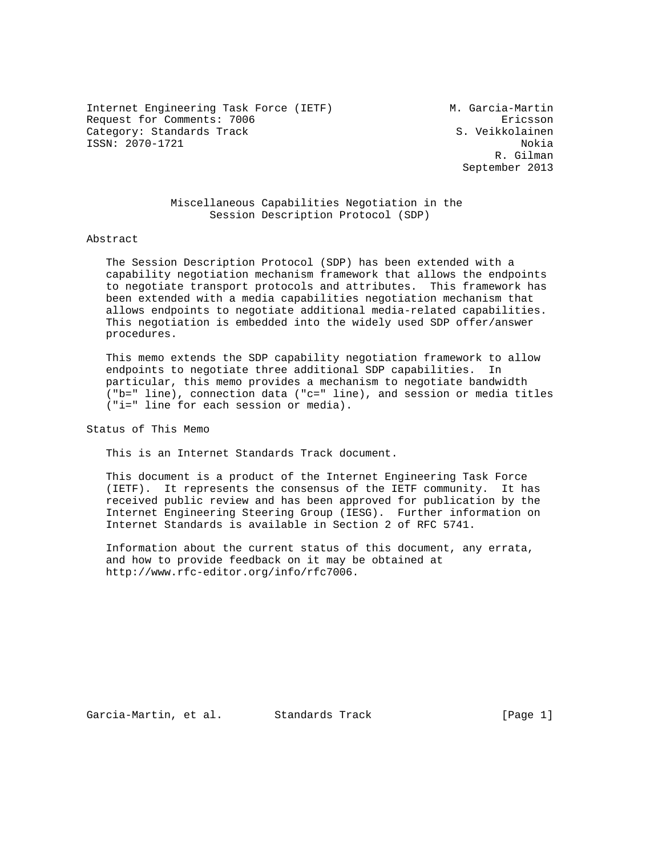Internet Engineering Task Force (IETF) M. Garcia-Martin Request for Comments: 7006 erastic state of the extra state of the Ericsson Category: Standards Track S. Veikkolainen ISSN: 2070-1721 Nokia

 R. Gilman September 2013

## Miscellaneous Capabilities Negotiation in the Session Description Protocol (SDP)

#### Abstract

 The Session Description Protocol (SDP) has been extended with a capability negotiation mechanism framework that allows the endpoints to negotiate transport protocols and attributes. This framework has been extended with a media capabilities negotiation mechanism that allows endpoints to negotiate additional media-related capabilities. This negotiation is embedded into the widely used SDP offer/answer procedures.

 This memo extends the SDP capability negotiation framework to allow endpoints to negotiate three additional SDP capabilities. In particular, this memo provides a mechanism to negotiate bandwidth ("b=" line), connection data ("c=" line), and session or media titles ("i=" line for each session or media).

Status of This Memo

This is an Internet Standards Track document.

 This document is a product of the Internet Engineering Task Force (IETF). It represents the consensus of the IETF community. It has received public review and has been approved for publication by the Internet Engineering Steering Group (IESG). Further information on Internet Standards is available in Section 2 of RFC 5741.

 Information about the current status of this document, any errata, and how to provide feedback on it may be obtained at http://www.rfc-editor.org/info/rfc7006.

Garcia-Martin, et al. Standards Track [Page 1]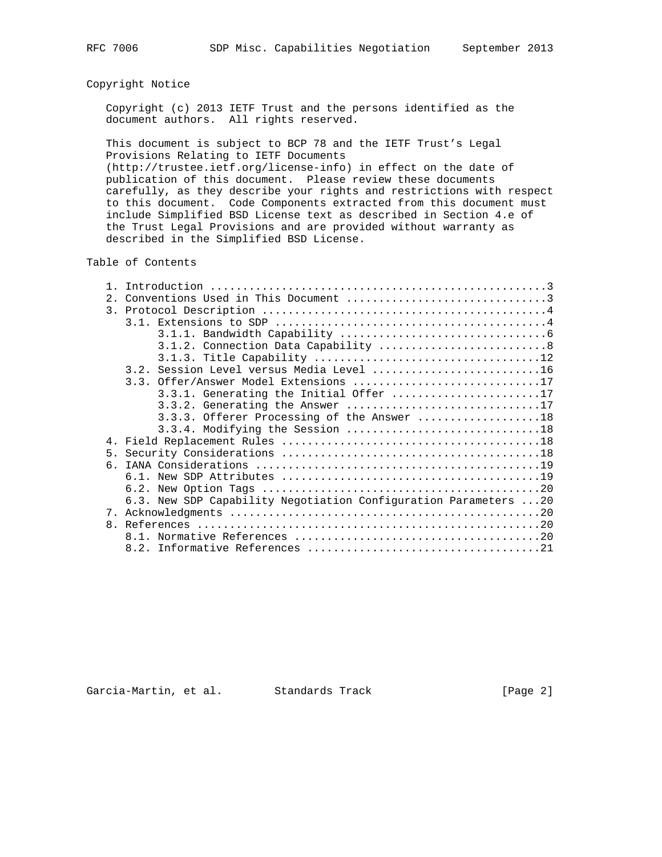# Copyright Notice

 Copyright (c) 2013 IETF Trust and the persons identified as the document authors. All rights reserved.

 This document is subject to BCP 78 and the IETF Trust's Legal Provisions Relating to IETF Documents

 (http://trustee.ietf.org/license-info) in effect on the date of publication of this document. Please review these documents carefully, as they describe your rights and restrictions with respect to this document. Code Components extracted from this document must include Simplified BSD License text as described in Section 4.e of the Trust Legal Provisions and are provided without warranty as described in the Simplified BSD License.

## Table of Contents

|                | 3.1.2. Connection Data Capability 8                             |
|----------------|-----------------------------------------------------------------|
|                |                                                                 |
|                | 3.2. Session Level versus Media Level 16                        |
|                | 3.3. Offer/Answer Model Extensions 17                           |
|                | $3.3.1.$ Generating the Initial Offer 17                        |
|                | 3.3.2. Generating the Answer 17                                 |
|                | 3.3.3. Offerer Processing of the Answer 18                      |
|                | 3.3.4. Modifying the Session 18                                 |
|                |                                                                 |
| 5 <sub>1</sub> |                                                                 |
| 6.             |                                                                 |
|                |                                                                 |
|                |                                                                 |
|                | 6.3. New SDP Capability Negotiation Configuration Parameters 20 |
|                |                                                                 |
| 8 <sub>1</sub> |                                                                 |
|                |                                                                 |
|                |                                                                 |

Garcia-Martin, et al. Standards Track [Page 2]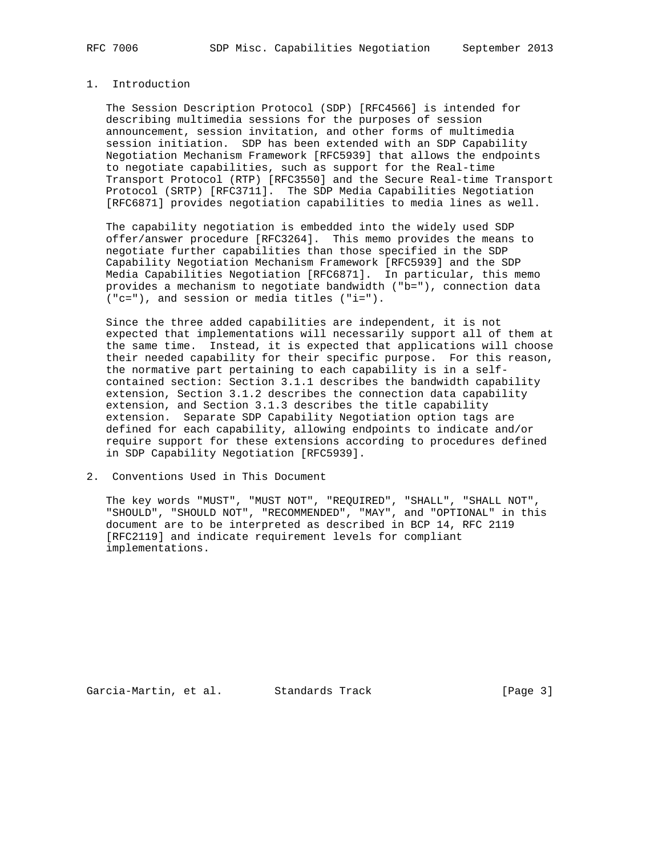## 1. Introduction

 The Session Description Protocol (SDP) [RFC4566] is intended for describing multimedia sessions for the purposes of session announcement, session invitation, and other forms of multimedia session initiation. SDP has been extended with an SDP Capability Negotiation Mechanism Framework [RFC5939] that allows the endpoints to negotiate capabilities, such as support for the Real-time Transport Protocol (RTP) [RFC3550] and the Secure Real-time Transport Protocol (SRTP) [RFC3711]. The SDP Media Capabilities Negotiation [RFC6871] provides negotiation capabilities to media lines as well.

 The capability negotiation is embedded into the widely used SDP offer/answer procedure [RFC3264]. This memo provides the means to negotiate further capabilities than those specified in the SDP Capability Negotiation Mechanism Framework [RFC5939] and the SDP Media Capabilities Negotiation [RFC6871]. In particular, this memo provides a mechanism to negotiate bandwidth ("b="), connection data ("c="), and session or media titles ("i=").

 Since the three added capabilities are independent, it is not expected that implementations will necessarily support all of them at the same time. Instead, it is expected that applications will choose their needed capability for their specific purpose. For this reason, the normative part pertaining to each capability is in a self contained section: Section 3.1.1 describes the bandwidth capability extension, Section 3.1.2 describes the connection data capability extension, and Section 3.1.3 describes the title capability extension. Separate SDP Capability Negotiation option tags are defined for each capability, allowing endpoints to indicate and/or require support for these extensions according to procedures defined in SDP Capability Negotiation [RFC5939].

2. Conventions Used in This Document

 The key words "MUST", "MUST NOT", "REQUIRED", "SHALL", "SHALL NOT", "SHOULD", "SHOULD NOT", "RECOMMENDED", "MAY", and "OPTIONAL" in this document are to be interpreted as described in BCP 14, RFC 2119 [RFC2119] and indicate requirement levels for compliant implementations.

Garcia-Martin, et al. Standards Track [Page 3]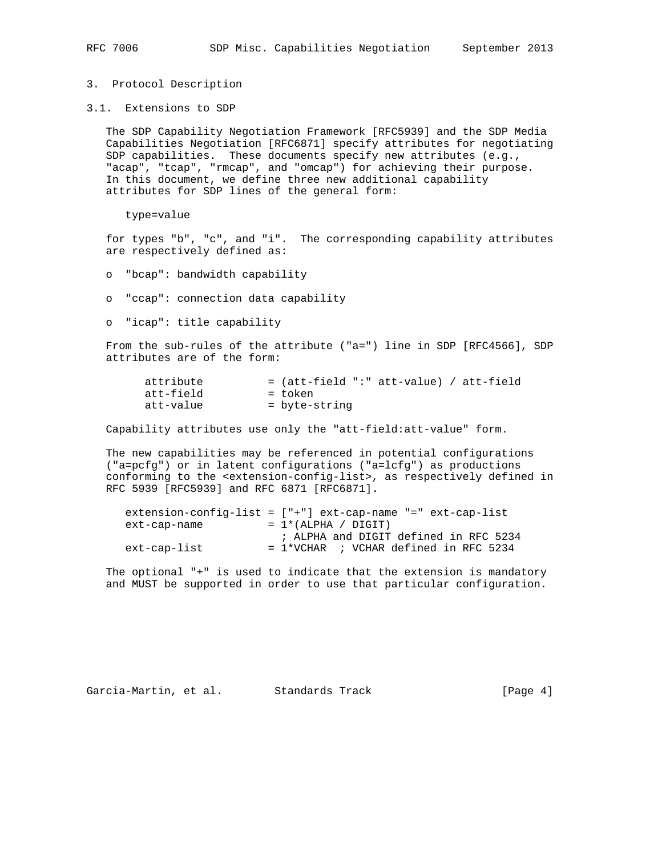## 3. Protocol Description

3.1. Extensions to SDP

 The SDP Capability Negotiation Framework [RFC5939] and the SDP Media Capabilities Negotiation [RFC6871] specify attributes for negotiating SDP capabilities. These documents specify new attributes (e.g., "acap", "tcap", "rmcap", and "omcap") for achieving their purpose. In this document, we define three new additional capability attributes for SDP lines of the general form:

type=value

 for types "b", "c", and "i". The corresponding capability attributes are respectively defined as:

- o "bcap": bandwidth capability
- o "ccap": connection data capability
- o "icap": title capability

 From the sub-rules of the attribute ("a=") line in SDP [RFC4566], SDP attributes are of the form:

| attribute | = (att-field ":" att-value) / att-field |
|-----------|-----------------------------------------|
| att-field | = token                                 |
| att-value | = byte-string                           |

Capability attributes use only the "att-field:att-value" form.

 The new capabilities may be referenced in potential configurations ("a=pcfg") or in latent configurations ("a=lcfg") as productions conforming to the <extension-config-list>, as respectively defined in RFC 5939 [RFC5939] and RFC 6871 [RFC6871].

|              | $extension-config-list = ['++'] ext-cap-name "=' ext-cap-list$ |
|--------------|----------------------------------------------------------------|
| ext-cap-name | $= 1*(ALPHA / DIGIT)$                                          |
|              | ; ALPHA and DIGIT defined in RFC 5234                          |
| ext-cap-list | $= 1*VCHAR$ ; VCHAR defined in RFC 5234                        |

 The optional "+" is used to indicate that the extension is mandatory and MUST be supported in order to use that particular configuration.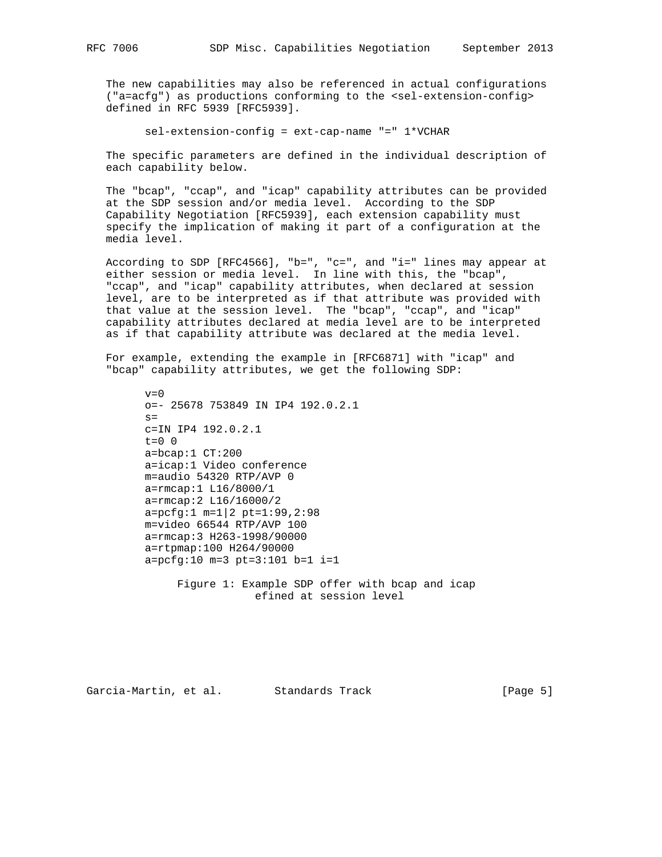The new capabilities may also be referenced in actual configurations ("a=acfg") as productions conforming to the <sel-extension-config> defined in RFC 5939 [RFC5939].

sel-extension-config = ext-cap-name "=" 1\*VCHAR

 The specific parameters are defined in the individual description of each capability below.

 The "bcap", "ccap", and "icap" capability attributes can be provided at the SDP session and/or media level. According to the SDP Capability Negotiation [RFC5939], each extension capability must specify the implication of making it part of a configuration at the media level.

 According to SDP [RFC4566], "b=", "c=", and "i=" lines may appear at either session or media level. In line with this, the "bcap", "ccap", and "icap" capability attributes, when declared at session level, are to be interpreted as if that attribute was provided with that value at the session level. The "bcap", "ccap", and "icap" capability attributes declared at media level are to be interpreted as if that capability attribute was declared at the media level.

 For example, extending the example in [RFC6871] with "icap" and "bcap" capability attributes, we get the following SDP:

 $v=0$  o=- 25678 753849 IN IP4 192.0.2.1  $s=$  c=IN IP4 192.0.2.1 t=0 0 a=bcap:1 CT:200 a=icap:1 Video conference m=audio 54320 RTP/AVP 0 a=rmcap:1 L16/8000/1 a=rmcap:2 L16/16000/2 a=pcfg:1 m=1|2 pt=1:99,2:98 m=video 66544 RTP/AVP 100 a=rmcap:3 H263-1998/90000 a=rtpmap:100 H264/90000 a=pcfg:10 m=3 pt=3:101 b=1 i=1

 Figure 1: Example SDP offer with bcap and icap efined at session level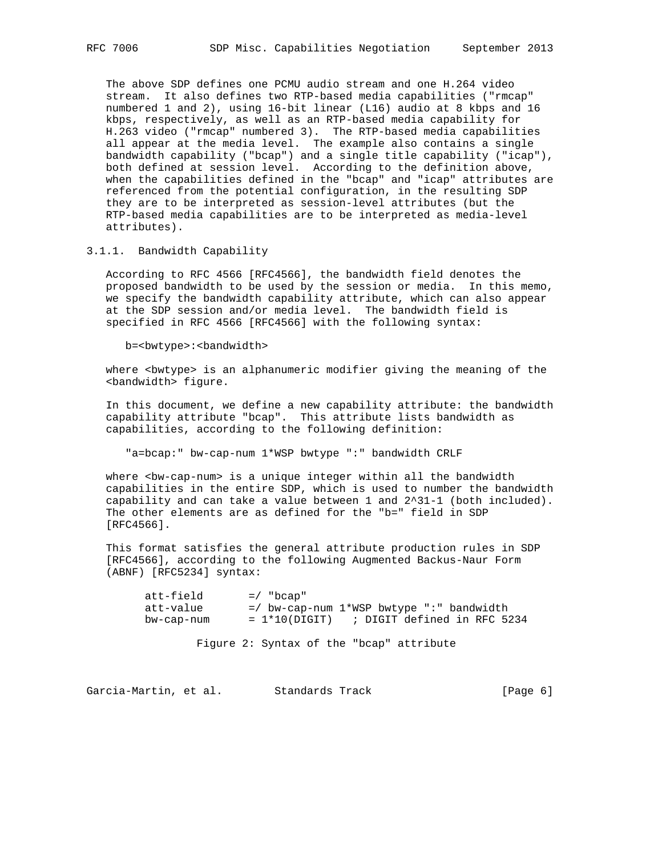The above SDP defines one PCMU audio stream and one H.264 video stream. It also defines two RTP-based media capabilities ("rmcap"

 numbered 1 and 2), using 16-bit linear (L16) audio at 8 kbps and 16 kbps, respectively, as well as an RTP-based media capability for H.263 video ("rmcap" numbered 3). The RTP-based media capabilities all appear at the media level. The example also contains a single bandwidth capability ("bcap") and a single title capability ("icap"), both defined at session level. According to the definition above, when the capabilities defined in the "bcap" and "icap" attributes are referenced from the potential configuration, in the resulting SDP they are to be interpreted as session-level attributes (but the RTP-based media capabilities are to be interpreted as media-level attributes).

## 3.1.1. Bandwidth Capability

 According to RFC 4566 [RFC4566], the bandwidth field denotes the proposed bandwidth to be used by the session or media. In this memo, we specify the bandwidth capability attribute, which can also appear at the SDP session and/or media level. The bandwidth field is specified in RFC 4566 [RFC4566] with the following syntax:

b=<br/>bwtype>:<br/>bandwidth>

where <bwtype> is an alphanumeric modifier giving the meaning of the <bandwidth> figure.

 In this document, we define a new capability attribute: the bandwidth capability attribute "bcap". This attribute lists bandwidth as capabilities, according to the following definition:

"a=bcap:" bw-cap-num 1\*WSP bwtype ":" bandwidth CRLF

where <br />bw-cap-num> is a unique integer within all the bandwidth capabilities in the entire SDP, which is used to number the bandwidth capability and can take a value between 1 and 2^31-1 (both included). The other elements are as defined for the "b=" field in SDP [RFC4566].

 This format satisfies the general attribute production rules in SDP [RFC4566], according to the following Augmented Backus-Naur Form (ABNF) [RFC5234] syntax:

| att-field  | $=$ / "bcap"                                   |
|------------|------------------------------------------------|
| att-value  | $=$ / bw-cap-num $1*$ WSP bwtype ":" bandwidth |
| bw-cap-num | $= 1*10(DIGIT)$ ; DIGIT defined in RFC 5234    |

Figure 2: Syntax of the "bcap" attribute

Garcia-Martin, et al. Standards Track (Page 6)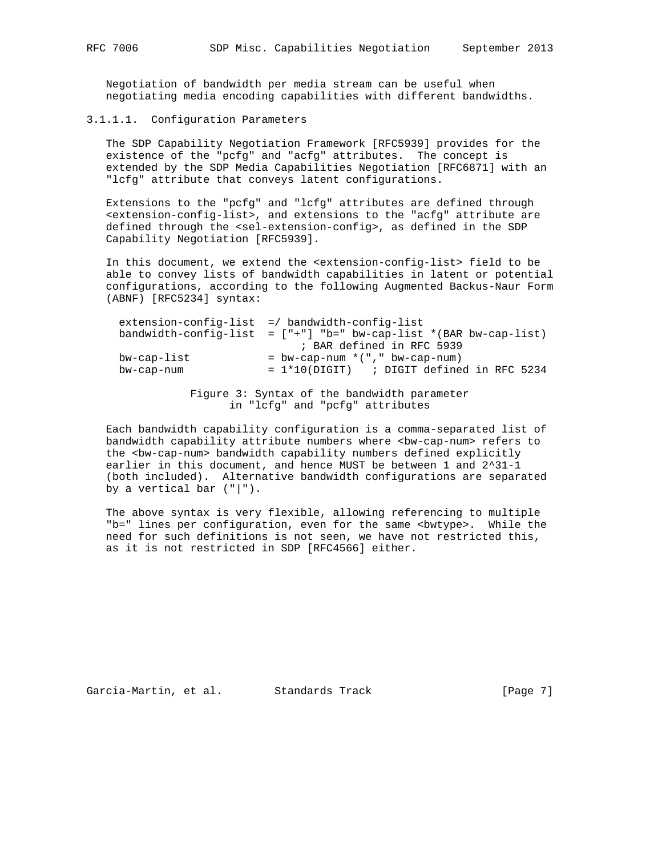Negotiation of bandwidth per media stream can be useful when negotiating media encoding capabilities with different bandwidths.

## 3.1.1.1. Configuration Parameters

 The SDP Capability Negotiation Framework [RFC5939] provides for the existence of the "pcfg" and "acfg" attributes. The concept is extended by the SDP Media Capabilities Negotiation [RFC6871] with an "lcfg" attribute that conveys latent configurations.

 Extensions to the "pcfg" and "lcfg" attributes are defined through <extension-config-list>, and extensions to the "acfg" attribute are defined through the <sel-extension-config>, as defined in the SDP Capability Negotiation [RFC5939].

 In this document, we extend the <extension-config-list> field to be able to convey lists of bandwidth capabilities in latent or potential configurations, according to the following Augmented Backus-Naur Form (ABNF) [RFC5234] syntax:

|             | $extension-config-list$ =/ bandwidth-config-list                    |
|-------------|---------------------------------------------------------------------|
|             | bandwidth-config-list = $["+"]$ "b=" bw-cap-list *(BAR bw-cap-list) |
|             | ; BAR defined in RFC 5939                                           |
| bw-cap-list | $=$ bw-cap-num $*($ ", " bw-cap-num)                                |
| bw-cap-num  | $= 1*10(DIGIT)$ ; DIGIT defined in RFC 5234                         |
|             |                                                                     |
|             | Figure 3: Syntax of the bandwidth parameter                         |

 in "lcfg" and "pcfg" attributes Each bandwidth capability configuration is a comma-separated list of

 bandwidth capability attribute numbers where <bw-cap-num> refers to the <bw-cap-num> bandwidth capability numbers defined explicitly earlier in this document, and hence MUST be between 1 and 2^31-1 (both included). Alternative bandwidth configurations are separated by a vertical bar  $($  " $|$  " $)$ .

 The above syntax is very flexible, allowing referencing to multiple "b=" lines per configuration, even for the same <br/> <br/> <br/>while the need for such definitions is not seen, we have not restricted this, as it is not restricted in SDP [RFC4566] either.

Garcia-Martin, et al. Standards Track [Page 7]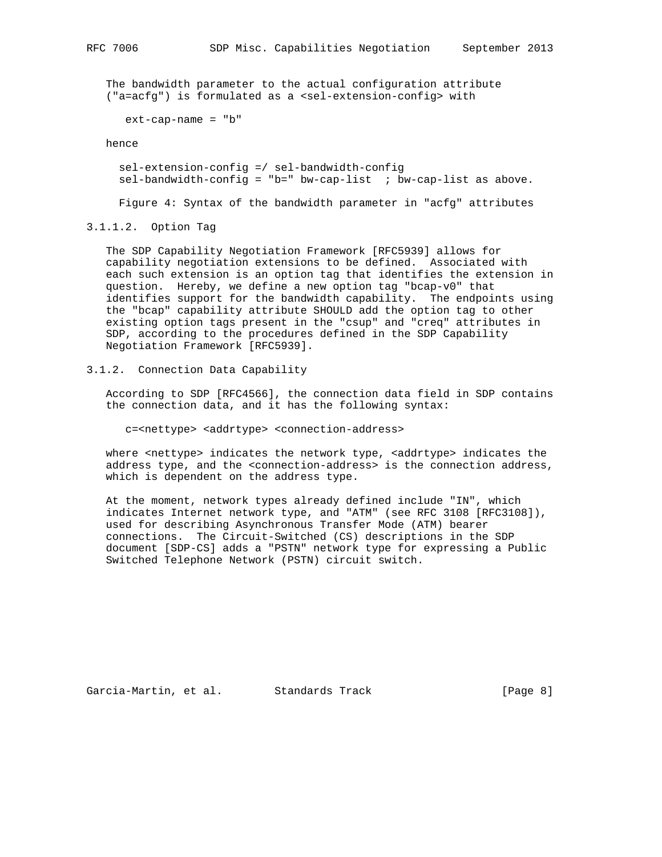The bandwidth parameter to the actual configuration attribute ("a=acfg") is formulated as a <sel-extension-config> with

 $ext-cap-name = "b"$ 

hence

 sel-extension-config =/ sel-bandwidth-config  $sel-bandwidth$ -config = "b=" bw-cap-list ; bw-cap-list as above.

Figure 4: Syntax of the bandwidth parameter in "acfg" attributes

3.1.1.2. Option Tag

 The SDP Capability Negotiation Framework [RFC5939] allows for capability negotiation extensions to be defined. Associated with each such extension is an option tag that identifies the extension in question. Hereby, we define a new option tag "bcap-v0" that identifies support for the bandwidth capability. The endpoints using the "bcap" capability attribute SHOULD add the option tag to other existing option tags present in the "csup" and "creq" attributes in SDP, according to the procedures defined in the SDP Capability Negotiation Framework [RFC5939].

3.1.2. Connection Data Capability

 According to SDP [RFC4566], the connection data field in SDP contains the connection data, and it has the following syntax:

c=<nettype> <addrtype> <connection-address>

where <nettype> indicates the network type, <addrtype> indicates the address type, and the <connection-address> is the connection address, which is dependent on the address type.

 At the moment, network types already defined include "IN", which indicates Internet network type, and "ATM" (see RFC 3108 [RFC3108]), used for describing Asynchronous Transfer Mode (ATM) bearer connections. The Circuit-Switched (CS) descriptions in the SDP document [SDP-CS] adds a "PSTN" network type for expressing a Public Switched Telephone Network (PSTN) circuit switch.

Garcia-Martin, et al. Standards Track [Page 8]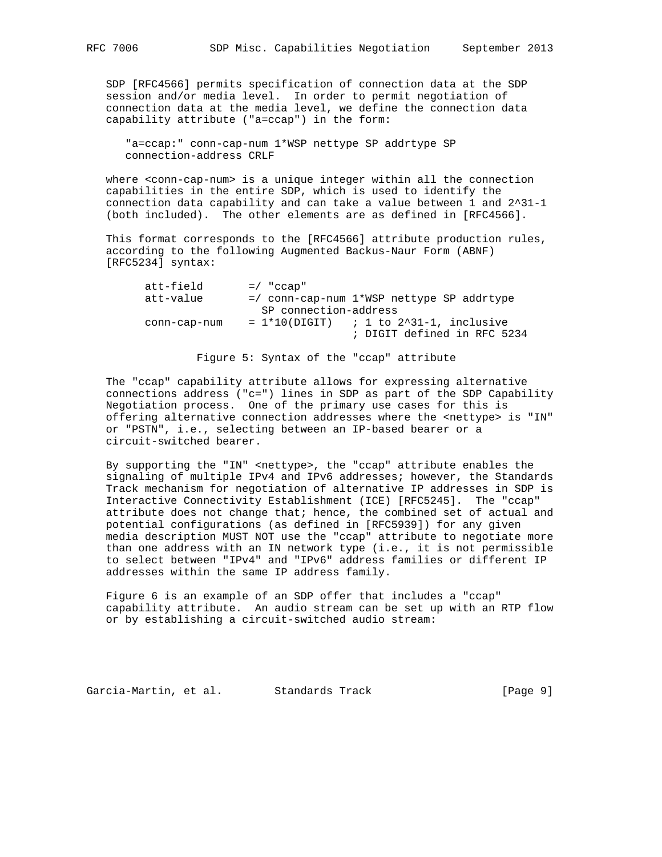SDP [RFC4566] permits specification of connection data at the SDP session and/or media level. In order to permit negotiation of connection data at the media level, we define the connection data capability attribute ("a=ccap") in the form:

 "a=ccap:" conn-cap-num 1\*WSP nettype SP addrtype SP connection-address CRLF

 where <conn-cap-num> is a unique integer within all the connection capabilities in the entire SDP, which is used to identify the connection data capability and can take a value between 1 and 2^31-1 (both included). The other elements are as defined in [RFC4566].

 This format corresponds to the [RFC4566] attribute production rules, according to the following Augmented Backus-Naur Form (ABNF) [RFC5234] syntax:

| att-field    | $=$ / "ccap"          |                                                 |
|--------------|-----------------------|-------------------------------------------------|
| att-value    |                       | $=$ / conn-cap-num $1*$ WSP nettype SP addrtype |
|              | SP connection-address |                                                 |
| conn-cap-num |                       | $= 1*10(DIGIT)$ ; 1 to $2*31-1$ , inclusive     |
|              |                       | ; DIGIT defined in RFC 5234                     |
|              |                       |                                                 |

Figure 5: Syntax of the "ccap" attribute

 The "ccap" capability attribute allows for expressing alternative connections address ("c=") lines in SDP as part of the SDP Capability Negotiation process. One of the primary use cases for this is offering alternative connection addresses where the <nettype> is "IN" or "PSTN", i.e., selecting between an IP-based bearer or a circuit-switched bearer.

 By supporting the "IN" <nettype>, the "ccap" attribute enables the signaling of multiple IPv4 and IPv6 addresses; however, the Standards Track mechanism for negotiation of alternative IP addresses in SDP is Interactive Connectivity Establishment (ICE) [RFC5245]. The "ccap" attribute does not change that; hence, the combined set of actual and potential configurations (as defined in [RFC5939]) for any given media description MUST NOT use the "ccap" attribute to negotiate more than one address with an IN network type (i.e., it is not permissible to select between "IPv4" and "IPv6" address families or different IP addresses within the same IP address family.

 Figure 6 is an example of an SDP offer that includes a "ccap" capability attribute. An audio stream can be set up with an RTP flow or by establishing a circuit-switched audio stream:

Garcia-Martin, et al. Standards Track [Page 9]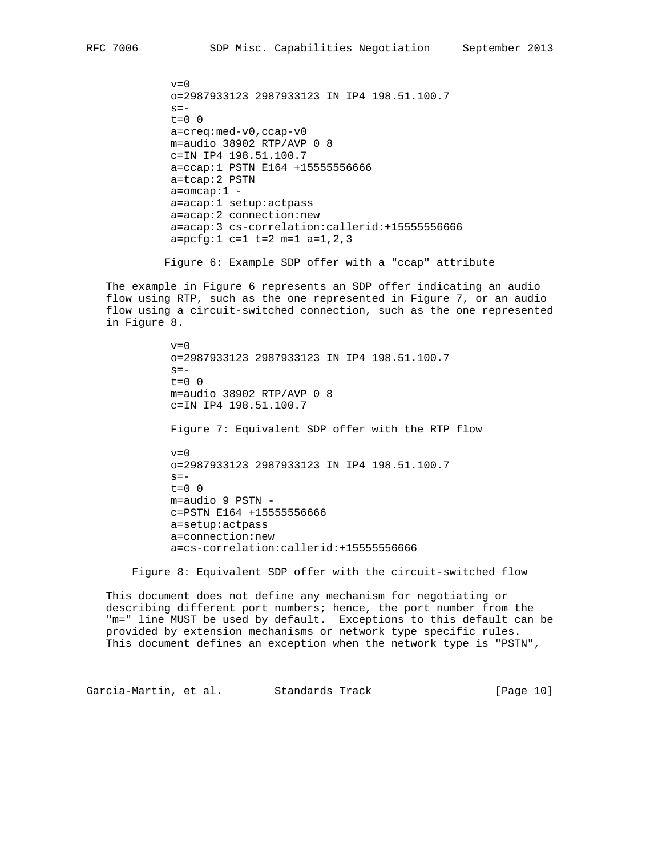$v=0$  o=2987933123 2987933123 IN IP4 198.51.100.7  $s=$  $t=0$  0 a=creq:med-v0,ccap-v0 m=audio 38902 RTP/AVP 0 8 c=IN IP4 198.51.100.7 a=ccap:1 PSTN E164 +15555556666 a=tcap:2 PSTN a=omcap:1 a=acap:1 setup:actpass a=acap:2 connection:new a=acap:3 cs-correlation:callerid:+15555556666  $a = pcfg:1 c=1 t=2 m=1 a=1,2,3$ 

Figure 6: Example SDP offer with a "ccap" attribute

 The example in Figure 6 represents an SDP offer indicating an audio flow using RTP, such as the one represented in Figure 7, or an audio flow using a circuit-switched connection, such as the one represented in Figure 8.

> $v=0$  o=2987933123 2987933123 IN IP4 198.51.100.7  $s=$  $t=0$  0 m=audio 38902 RTP/AVP 0 8 c=IN IP4 198.51.100.7 Figure 7: Equivalent SDP offer with the RTP flow  $v=0$  o=2987933123 2987933123 IN IP4 198.51.100.7  $s =$  $t=0$  0 m=audio 9 PSTN c=PSTN E164 +15555556666 a=setup:actpass a=connection:new a=cs-correlation:callerid:+15555556666

Figure 8: Equivalent SDP offer with the circuit-switched flow

 This document does not define any mechanism for negotiating or describing different port numbers; hence, the port number from the "m=" line MUST be used by default. Exceptions to this default can be provided by extension mechanisms or network type specific rules. This document defines an exception when the network type is "PSTN",

Garcia-Martin, et al. Standards Track [Page 10]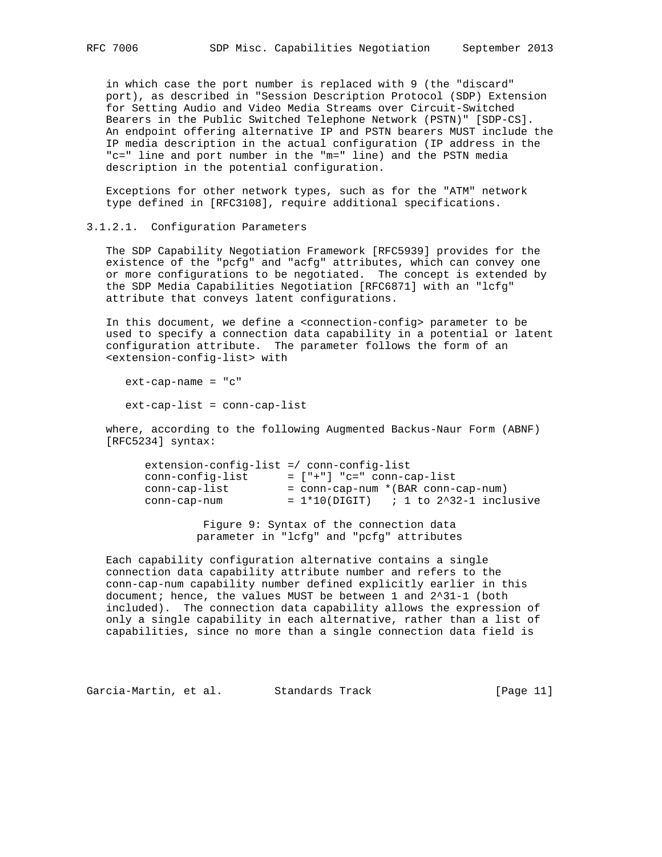in which case the port number is replaced with 9 (the "discard" port), as described in "Session Description Protocol (SDP) Extension for Setting Audio and Video Media Streams over Circuit-Switched Bearers in the Public Switched Telephone Network (PSTN)" [SDP-CS]. An endpoint offering alternative IP and PSTN bearers MUST include the IP media description in the actual configuration (IP address in the "c=" line and port number in the "m=" line) and the PSTN media description in the potential configuration.

 Exceptions for other network types, such as for the "ATM" network type defined in [RFC3108], require additional specifications.

3.1.2.1. Configuration Parameters

 The SDP Capability Negotiation Framework [RFC5939] provides for the existence of the "pcfg" and "acfg" attributes, which can convey one or more configurations to be negotiated. The concept is extended by the SDP Media Capabilities Negotiation [RFC6871] with an "lcfg" attribute that conveys latent configurations.

 In this document, we define a <connection-config> parameter to be used to specify a connection data capability in a potential or latent configuration attribute. The parameter follows the form of an <extension-config-list> with

 $ext-cap-name = "c"$ ext-cap-list = conn-cap-list

 where, according to the following Augmented Backus-Naur Form (ABNF) [RFC5234] syntax:

 extension-config-list =/ conn-config-list  $conn-config-list$  =  $["+"] "c=" conn-cap-list$  conn-cap-list = conn-cap-num \*(BAR conn-cap-num)  $conn-cap-num$  =  $1*10(DIGIT)$  ; 1 to  $2*32-1$  inclusive

> Figure 9: Syntax of the connection data parameter in "lcfg" and "pcfg" attributes

 Each capability configuration alternative contains a single connection data capability attribute number and refers to the conn-cap-num capability number defined explicitly earlier in this document; hence, the values MUST be between 1 and 2^31-1 (both included). The connection data capability allows the expression of only a single capability in each alternative, rather than a list of capabilities, since no more than a single connection data field is

Garcia-Martin, et al. Standards Track [Page 11]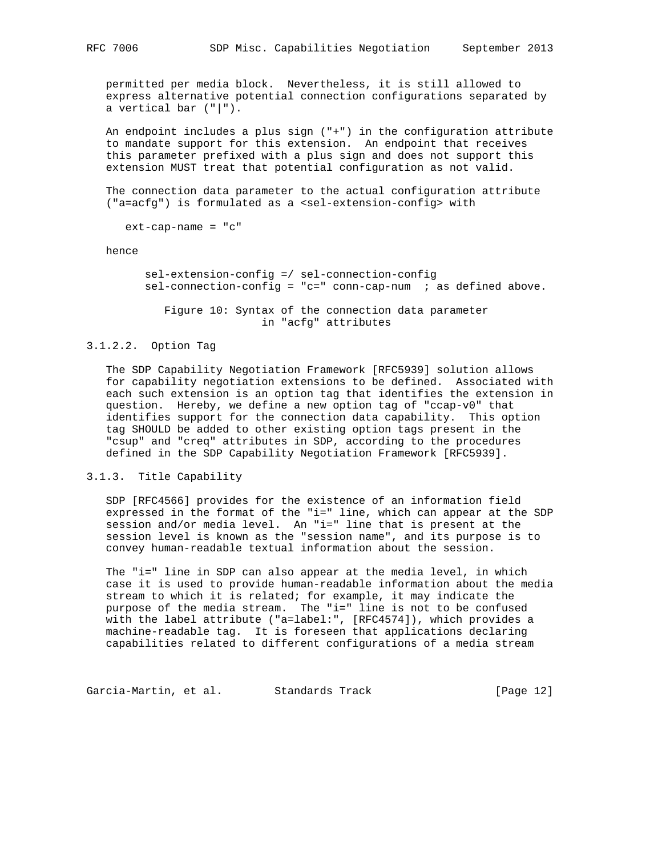permitted per media block. Nevertheless, it is still allowed to express alternative potential connection configurations separated by a vertical bar  $(\ulcorner\urcorner\urcorner)$ .

 An endpoint includes a plus sign ("+") in the configuration attribute to mandate support for this extension. An endpoint that receives this parameter prefixed with a plus sign and does not support this extension MUST treat that potential configuration as not valid.

 The connection data parameter to the actual configuration attribute ("a=acfg") is formulated as a <sel-extension-config> with

 $ext-cap-name = "c"$ 

hence

 sel-extension-config =/ sel-connection-config  $sel-connection-config = "c=" conn-cap-num ; as defined above.$ 

 Figure 10: Syntax of the connection data parameter in "acfg" attributes

## 3.1.2.2. Option Tag

 The SDP Capability Negotiation Framework [RFC5939] solution allows for capability negotiation extensions to be defined. Associated with each such extension is an option tag that identifies the extension in question. Hereby, we define a new option tag of "ccap-v0" that identifies support for the connection data capability. This option tag SHOULD be added to other existing option tags present in the "csup" and "creq" attributes in SDP, according to the procedures defined in the SDP Capability Negotiation Framework [RFC5939].

## 3.1.3. Title Capability

 SDP [RFC4566] provides for the existence of an information field expressed in the format of the "i=" line, which can appear at the SDP session and/or media level. An "i=" line that is present at the session level is known as the "session name", and its purpose is to convey human-readable textual information about the session.

 The "i=" line in SDP can also appear at the media level, in which case it is used to provide human-readable information about the media stream to which it is related; for example, it may indicate the purpose of the media stream. The "i=" line is not to be confused with the label attribute ("a=label:", [RFC4574]), which provides a machine-readable tag. It is foreseen that applications declaring capabilities related to different configurations of a media stream

Garcia-Martin, et al. Standards Track [Page 12]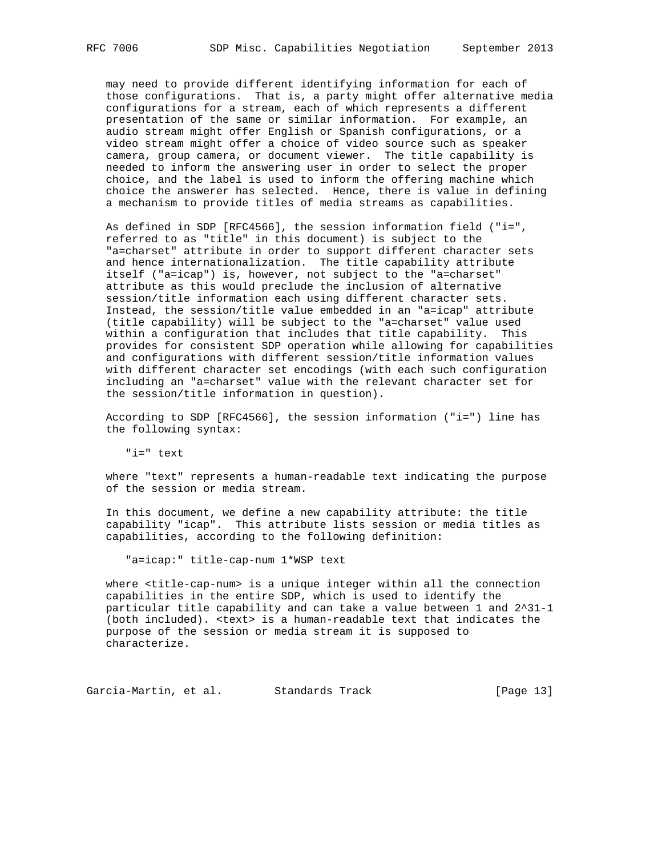may need to provide different identifying information for each of those configurations. That is, a party might offer alternative media configurations for a stream, each of which represents a different presentation of the same or similar information. For example, an audio stream might offer English or Spanish configurations, or a video stream might offer a choice of video source such as speaker camera, group camera, or document viewer. The title capability is needed to inform the answering user in order to select the proper choice, and the label is used to inform the offering machine which choice the answerer has selected. Hence, there is value in defining a mechanism to provide titles of media streams as capabilities.

 As defined in SDP [RFC4566], the session information field ("i=", referred to as "title" in this document) is subject to the "a=charset" attribute in order to support different character sets and hence internationalization. The title capability attribute itself ("a=icap") is, however, not subject to the "a=charset" attribute as this would preclude the inclusion of alternative session/title information each using different character sets. Instead, the session/title value embedded in an "a=icap" attribute (title capability) will be subject to the "a=charset" value used within a configuration that includes that title capability. This provides for consistent SDP operation while allowing for capabilities and configurations with different session/title information values with different character set encodings (with each such configuration including an "a=charset" value with the relevant character set for the session/title information in question).

 According to SDP [RFC4566], the session information ("i=") line has the following syntax:

"i=" text

 where "text" represents a human-readable text indicating the purpose of the session or media stream.

 In this document, we define a new capability attribute: the title capability "icap". This attribute lists session or media titles as capabilities, according to the following definition:

"a=icap:" title-cap-num 1\*WSP text

 where <title-cap-num> is a unique integer within all the connection capabilities in the entire SDP, which is used to identify the particular title capability and can take a value between 1 and 2^31-1 (both included). <text> is a human-readable text that indicates the purpose of the session or media stream it is supposed to characterize.

Garcia-Martin, et al. Standards Track [Page 13]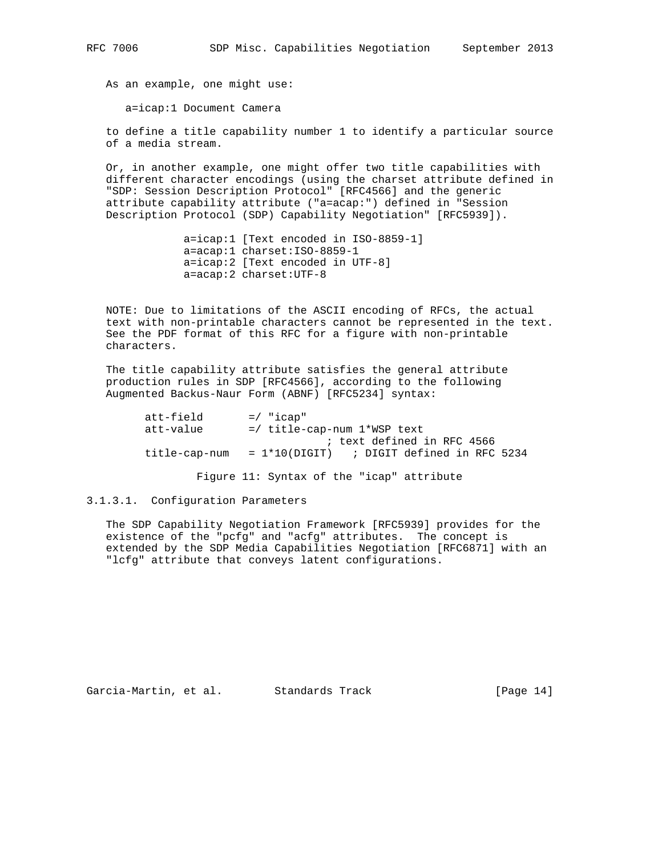As an example, one might use:

a=icap:1 Document Camera

 to define a title capability number 1 to identify a particular source of a media stream.

 Or, in another example, one might offer two title capabilities with different character encodings (using the charset attribute defined in "SDP: Session Description Protocol" [RFC4566] and the generic attribute capability attribute ("a=acap:") defined in "Session Description Protocol (SDP) Capability Negotiation" [RFC5939]).

> a=icap:1 [Text encoded in ISO-8859-1] a=acap:1 charset:ISO-8859-1 a=icap:2 [Text encoded in UTF-8] a=acap:2 charset:UTF-8

 NOTE: Due to limitations of the ASCII encoding of RFCs, the actual text with non-printable characters cannot be represented in the text. See the PDF format of this RFC for a figure with non-printable characters.

 The title capability attribute satisfies the general attribute production rules in SDP [RFC4566], according to the following Augmented Backus-Naur Form (ABNF) [RFC5234] syntax:

| att-field | $=$ / "icap"                                              |
|-----------|-----------------------------------------------------------|
| att-value | =/ title-cap-num 1*WSP text                               |
|           | ; text defined in RFC 4566                                |
|           | title-cap-num = $1*10(DIGIT)$ ; DIGIT defined in RFC 5234 |
|           |                                                           |
|           | Figure 11: Syntax of the "icap" attribute                 |

#### 3.1.3.1. Configuration Parameters

 The SDP Capability Negotiation Framework [RFC5939] provides for the existence of the "pcfg" and "acfg" attributes. The concept is extended by the SDP Media Capabilities Negotiation [RFC6871] with an "lcfg" attribute that conveys latent configurations.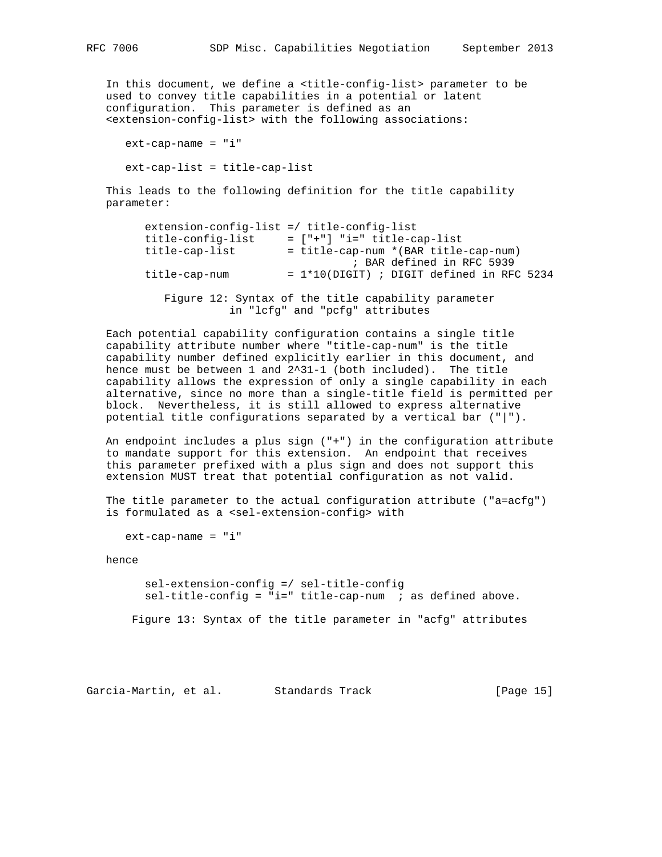In this document, we define a <title-config-list> parameter to be used to convey title capabilities in a potential or latent configuration. This parameter is defined as an <extension-config-list> with the following associations:

 $ext-cap-name = "i"$ 

ext-cap-list = title-cap-list

 This leads to the following definition for the title capability parameter:

 extension-config-list =/ title-config-list title-config-list = ["+"] "i=" title-cap-list title-cap-list = title-cap-num \*(BAR title-cap-num) ; BAR defined in RFC 5939 title-cap-num =  $1*10(DIGIT)$  ; DIGIT defined in RFC 5234 Figure 12: Syntax of the title capability parameter in "lcfg" and "pcfg" attributes

 Each potential capability configuration contains a single title capability attribute number where "title-cap-num" is the title capability number defined explicitly earlier in this document, and hence must be between 1 and 2^31-1 (both included). The title capability allows the expression of only a single capability in each alternative, since no more than a single-title field is permitted per block. Nevertheless, it is still allowed to express alternative potential title configurations separated by a vertical bar ("|").

 An endpoint includes a plus sign ("+") in the configuration attribute to mandate support for this extension. An endpoint that receives this parameter prefixed with a plus sign and does not support this extension MUST treat that potential configuration as not valid.

 The title parameter to the actual configuration attribute ("a=acfg") is formulated as a <sel-extension-config> with

 $ext-cap-name = "i"$ 

hence

 sel-extension-config =/ sel-title-config sel-title-config =  $"i="$  title-cap-num ; as defined above.

Figure 13: Syntax of the title parameter in "acfg" attributes

Garcia-Martin, et al. Standards Track [Page 15]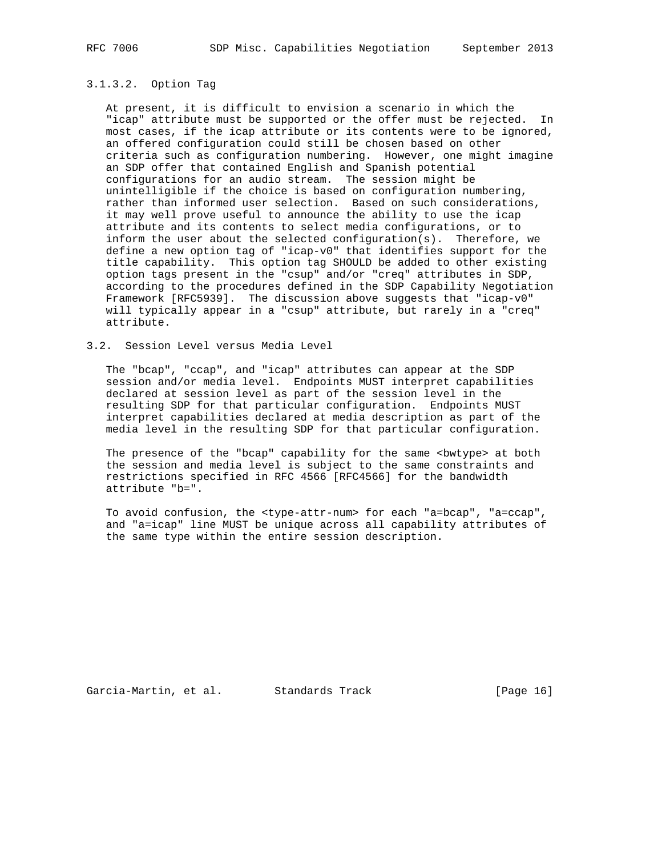# 3.1.3.2. Option Tag

 At present, it is difficult to envision a scenario in which the "icap" attribute must be supported or the offer must be rejected. In most cases, if the icap attribute or its contents were to be ignored, an offered configuration could still be chosen based on other criteria such as configuration numbering. However, one might imagine an SDP offer that contained English and Spanish potential configurations for an audio stream. The session might be unintelligible if the choice is based on configuration numbering, rather than informed user selection. Based on such considerations, it may well prove useful to announce the ability to use the icap attribute and its contents to select media configurations, or to inform the user about the selected configuration(s). Therefore, we define a new option tag of "icap-v0" that identifies support for the title capability. This option tag SHOULD be added to other existing option tags present in the "csup" and/or "creq" attributes in SDP, according to the procedures defined in the SDP Capability Negotiation Framework [RFC5939]. The discussion above suggests that "icap-v0" will typically appear in a "csup" attribute, but rarely in a "creq" attribute.

## 3.2. Session Level versus Media Level

 The "bcap", "ccap", and "icap" attributes can appear at the SDP session and/or media level. Endpoints MUST interpret capabilities declared at session level as part of the session level in the resulting SDP for that particular configuration. Endpoints MUST interpret capabilities declared at media description as part of the media level in the resulting SDP for that particular configuration.

The presence of the "bcap" capability for the same <br/> <br/>kovency at both the session and media level is subject to the same constraints and restrictions specified in RFC 4566 [RFC4566] for the bandwidth attribute "b=".

 To avoid confusion, the <type-attr-num> for each "a=bcap", "a=ccap", and "a=icap" line MUST be unique across all capability attributes of the same type within the entire session description.

Garcia-Martin, et al. Standards Track [Page 16]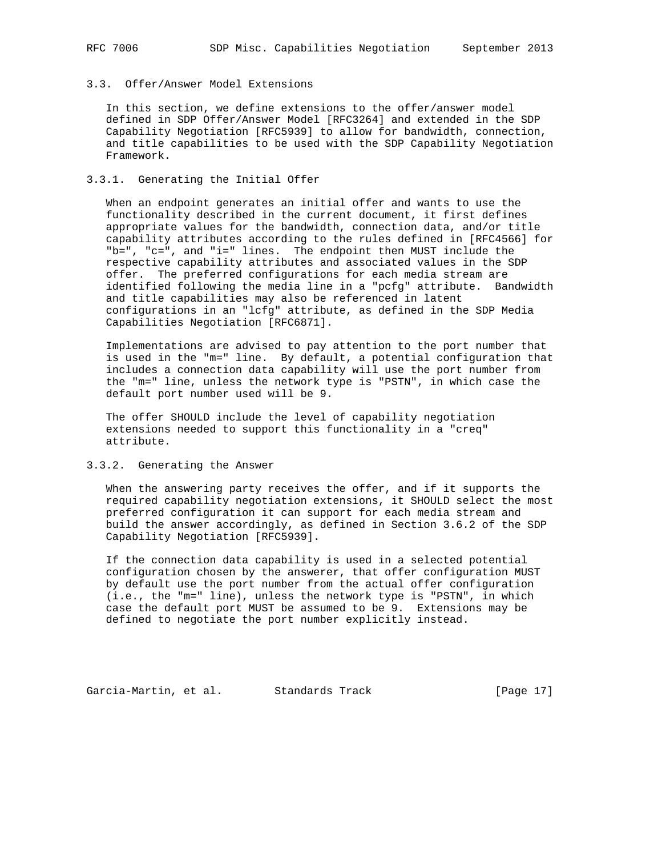## 3.3. Offer/Answer Model Extensions

 In this section, we define extensions to the offer/answer model defined in SDP Offer/Answer Model [RFC3264] and extended in the SDP Capability Negotiation [RFC5939] to allow for bandwidth, connection, and title capabilities to be used with the SDP Capability Negotiation Framework.

## 3.3.1. Generating the Initial Offer

 When an endpoint generates an initial offer and wants to use the functionality described in the current document, it first defines appropriate values for the bandwidth, connection data, and/or title capability attributes according to the rules defined in [RFC4566] for "b=", "c=", and "i=" lines. The endpoint then MUST include the respective capability attributes and associated values in the SDP offer. The preferred configurations for each media stream are identified following the media line in a "pcfg" attribute. Bandwidth and title capabilities may also be referenced in latent configurations in an "lcfg" attribute, as defined in the SDP Media Capabilities Negotiation [RFC6871].

 Implementations are advised to pay attention to the port number that is used in the "m=" line. By default, a potential configuration that includes a connection data capability will use the port number from the "m=" line, unless the network type is "PSTN", in which case the default port number used will be 9.

 The offer SHOULD include the level of capability negotiation extensions needed to support this functionality in a "creq" attribute.

#### 3.3.2. Generating the Answer

 When the answering party receives the offer, and if it supports the required capability negotiation extensions, it SHOULD select the most preferred configuration it can support for each media stream and build the answer accordingly, as defined in Section 3.6.2 of the SDP Capability Negotiation [RFC5939].

 If the connection data capability is used in a selected potential configuration chosen by the answerer, that offer configuration MUST by default use the port number from the actual offer configuration (i.e., the "m=" line), unless the network type is "PSTN", in which case the default port MUST be assumed to be 9. Extensions may be defined to negotiate the port number explicitly instead.

Garcia-Martin, et al. Standards Track [Page 17]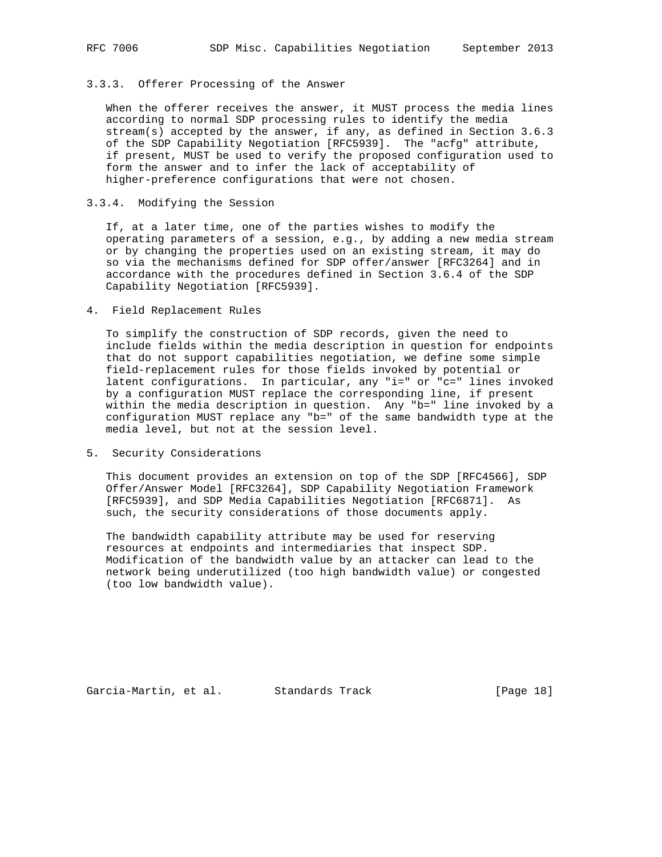## 3.3.3. Offerer Processing of the Answer

 When the offerer receives the answer, it MUST process the media lines according to normal SDP processing rules to identify the media stream(s) accepted by the answer, if any, as defined in Section 3.6.3 of the SDP Capability Negotiation [RFC5939]. The "acfg" attribute, if present, MUST be used to verify the proposed configuration used to form the answer and to infer the lack of acceptability of higher-preference configurations that were not chosen.

## 3.3.4. Modifying the Session

 If, at a later time, one of the parties wishes to modify the operating parameters of a session, e.g., by adding a new media stream or by changing the properties used on an existing stream, it may do so via the mechanisms defined for SDP offer/answer [RFC3264] and in accordance with the procedures defined in Section 3.6.4 of the SDP Capability Negotiation [RFC5939].

4. Field Replacement Rules

 To simplify the construction of SDP records, given the need to include fields within the media description in question for endpoints that do not support capabilities negotiation, we define some simple field-replacement rules for those fields invoked by potential or latent configurations. In particular, any "i=" or "c=" lines invoked by a configuration MUST replace the corresponding line, if present within the media description in question. Any "b=" line invoked by a configuration MUST replace any "b=" of the same bandwidth type at the media level, but not at the session level.

5. Security Considerations

 This document provides an extension on top of the SDP [RFC4566], SDP Offer/Answer Model [RFC3264], SDP Capability Negotiation Framework [RFC5939], and SDP Media Capabilities Negotiation [RFC6871]. As such, the security considerations of those documents apply.

 The bandwidth capability attribute may be used for reserving resources at endpoints and intermediaries that inspect SDP. Modification of the bandwidth value by an attacker can lead to the network being underutilized (too high bandwidth value) or congested (too low bandwidth value).

Garcia-Martin, et al. Standards Track [Page 18]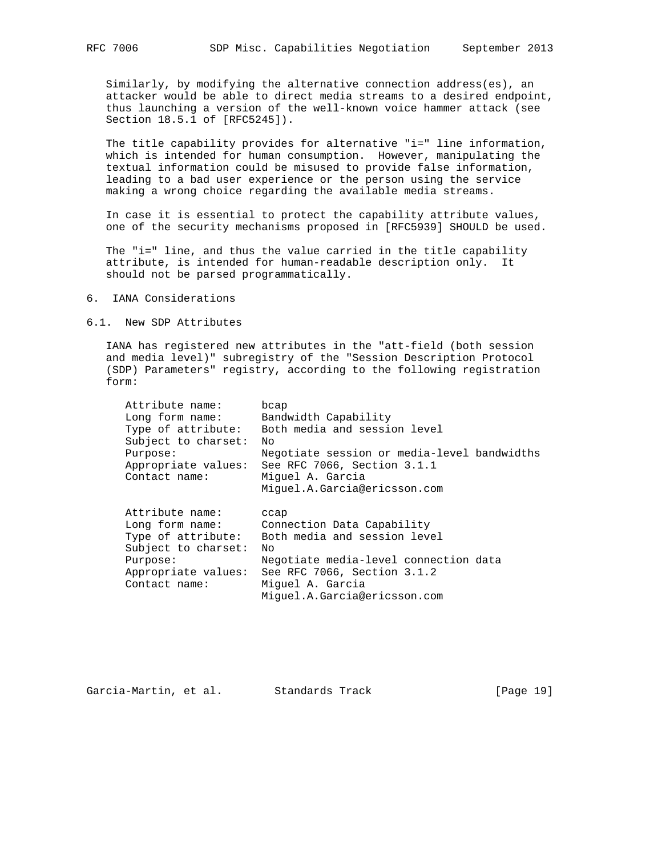Similarly, by modifying the alternative connection address(es), an attacker would be able to direct media streams to a desired endpoint, thus launching a version of the well-known voice hammer attack (see Section 18.5.1 of [RFC5245]).

The title capability provides for alternative "i=" line information, which is intended for human consumption. However, manipulating the textual information could be misused to provide false information, leading to a bad user experience or the person using the service making a wrong choice regarding the available media streams.

 In case it is essential to protect the capability attribute values, one of the security mechanisms proposed in [RFC5939] SHOULD be used.

 The "i=" line, and thus the value carried in the title capability attribute, is intended for human-readable description only. It should not be parsed programmatically.

## 6. IANA Considerations

## 6.1. New SDP Attributes

 IANA has registered new attributes in the "att-field (both session and media level)" subregistry of the "Session Description Protocol (SDP) Parameters" registry, according to the following registration form:

| Attribute name:     | bcap                                                  |  |
|---------------------|-------------------------------------------------------|--|
| Long form name:     | Bandwidth Capability                                  |  |
| Subject to charset: | Type of attribute: Both media and session level<br>Nο |  |
| Purpose:            | Negotiate session or media-level bandwidths           |  |
| Appropriate values: | See RFC 7066, Section 3.1.1                           |  |
| Contact name:       | Miquel A. Garcia                                      |  |
|                     | Miquel.A.Garcia@ericsson.com                          |  |
|                     |                                                       |  |
| Attribute name:     | ccap                                                  |  |
| Long form name:     | Connection Data Capability                            |  |
|                     | Type of attribute: Both media and session level       |  |
| Subject to charset: | Nο                                                    |  |
| Purpose:            | Negotiate media-level connection data                 |  |
| Appropriate values: | See RFC 7066, Section 3.1.2                           |  |
| Contact name:       | Miquel A. Garcia                                      |  |
|                     | Miquel.A.Garcia@ericsson.com                          |  |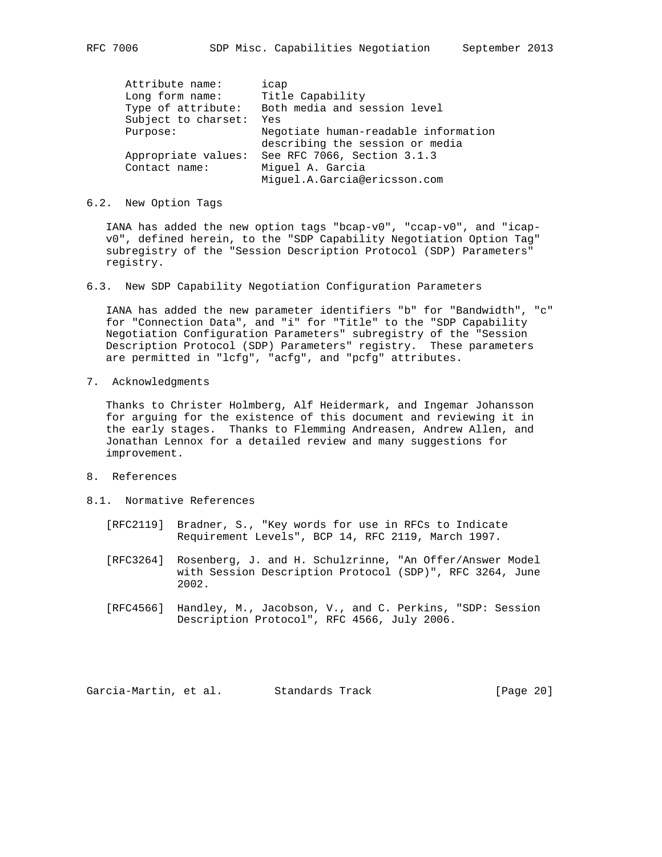Attribute name: icap Actribuce name: Trap<br>Long form name: Title Capability nong rorm name.<br>Type of attribute: Both media and session level Subject to charset: Yes Purpose: Negotiate human-readable information describing the session or media Appropriate values: See RFC 7066, Section 3.1.3 Contact name: Miguel A. Garcia Miguel.A.Garcia@ericsson.com

## 6.2. New Option Tags

 IANA has added the new option tags "bcap-v0", "ccap-v0", and "icap v0", defined herein, to the "SDP Capability Negotiation Option Tag" subregistry of the "Session Description Protocol (SDP) Parameters" registry.

6.3. New SDP Capability Negotiation Configuration Parameters

 IANA has added the new parameter identifiers "b" for "Bandwidth", "c" for "Connection Data", and "i" for "Title" to the "SDP Capability Negotiation Configuration Parameters" subregistry of the "Session Description Protocol (SDP) Parameters" registry. These parameters are permitted in "lcfg", "acfg", and "pcfg" attributes.

7. Acknowledgments

 Thanks to Christer Holmberg, Alf Heidermark, and Ingemar Johansson for arguing for the existence of this document and reviewing it in the early stages. Thanks to Flemming Andreasen, Andrew Allen, and Jonathan Lennox for a detailed review and many suggestions for improvement.

- 8. References
- 8.1. Normative References
	- [RFC2119] Bradner, S., "Key words for use in RFCs to Indicate Requirement Levels", BCP 14, RFC 2119, March 1997.
	- [RFC3264] Rosenberg, J. and H. Schulzrinne, "An Offer/Answer Model with Session Description Protocol (SDP)", RFC 3264, June 2002.
	- [RFC4566] Handley, M., Jacobson, V., and C. Perkins, "SDP: Session Description Protocol", RFC 4566, July 2006.

Garcia-Martin, et al. Standards Track [Page 20]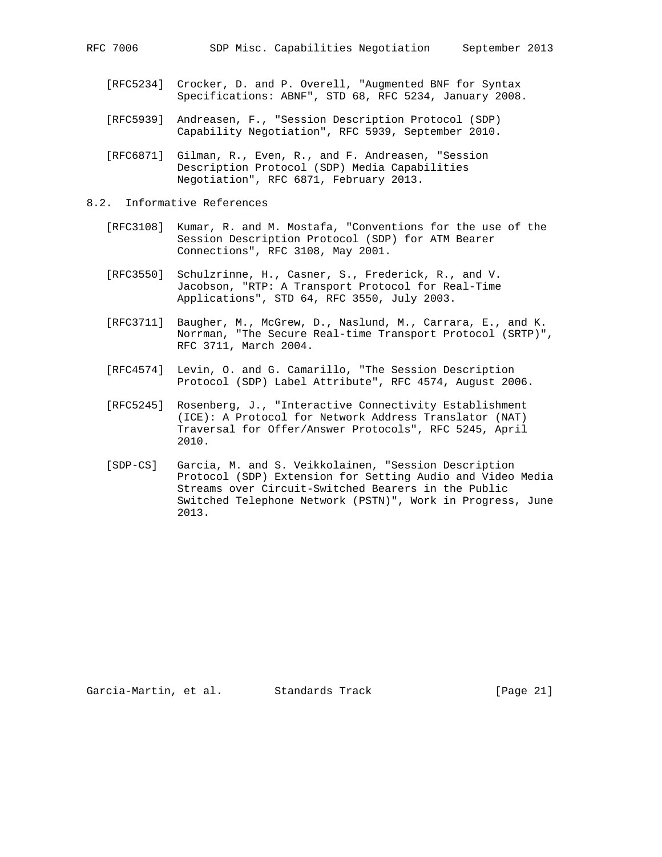- [RFC5234] Crocker, D. and P. Overell, "Augmented BNF for Syntax Specifications: ABNF", STD 68, RFC 5234, January 2008.
- [RFC5939] Andreasen, F., "Session Description Protocol (SDP) Capability Negotiation", RFC 5939, September 2010.
- [RFC6871] Gilman, R., Even, R., and F. Andreasen, "Session Description Protocol (SDP) Media Capabilities Negotiation", RFC 6871, February 2013.
- 8.2. Informative References
	- [RFC3108] Kumar, R. and M. Mostafa, "Conventions for the use of the Session Description Protocol (SDP) for ATM Bearer Connections", RFC 3108, May 2001.
	- [RFC3550] Schulzrinne, H., Casner, S., Frederick, R., and V. Jacobson, "RTP: A Transport Protocol for Real-Time Applications", STD 64, RFC 3550, July 2003.
	- [RFC3711] Baugher, M., McGrew, D., Naslund, M., Carrara, E., and K. Norrman, "The Secure Real-time Transport Protocol (SRTP)", RFC 3711, March 2004.
	- [RFC4574] Levin, O. and G. Camarillo, "The Session Description Protocol (SDP) Label Attribute", RFC 4574, August 2006.
	- [RFC5245] Rosenberg, J., "Interactive Connectivity Establishment (ICE): A Protocol for Network Address Translator (NAT) Traversal for Offer/Answer Protocols", RFC 5245, April 2010.
	- [SDP-CS] Garcia, M. and S. Veikkolainen, "Session Description Protocol (SDP) Extension for Setting Audio and Video Media Streams over Circuit-Switched Bearers in the Public Switched Telephone Network (PSTN)", Work in Progress, June 2013.

Garcia-Martin, et al. Standards Track [Page 21]